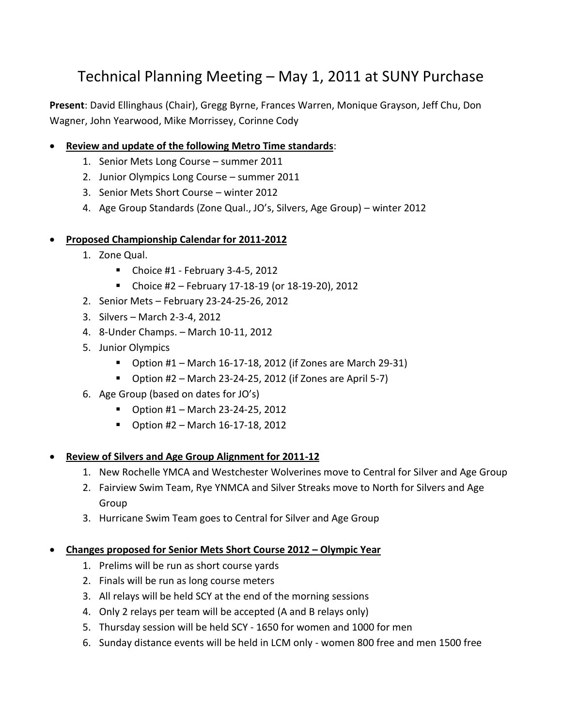# Technical Planning Meeting – May 1, 2011 at SUNY Purchase

**Present**: David Ellinghaus (Chair), Gregg Byrne, Frances Warren, Monique Grayson, Jeff Chu, Don Wagner, John Yearwood, Mike Morrissey, Corinne Cody

- **Review and update of the following Metro Time standards**:
	- 1. Senior Mets Long Course summer 2011
	- 2. Junior Olympics Long Course summer 2011
	- 3. Senior Mets Short Course winter 2012
	- 4. Age Group Standards (Zone Qual., JO's, Silvers, Age Group) winter 2012

## **Proposed Championship Calendar for 2011-2012**

- 1. Zone Qual.
	- $\blacksquare$  Choice #1 February 3-4-5, 2012
	- Choice #2 February 17-18-19 (or 18-19-20), 2012
- 2. Senior Mets February 23-24-25-26, 2012
- 3. Silvers March 2-3-4, 2012
- 4. 8-Under Champs. March 10-11, 2012
- 5. Junior Olympics
	- $\blacksquare$  Option #1 March 16-17-18, 2012 (if Zones are March 29-31)
	- $\blacksquare$  Option #2 March 23-24-25, 2012 (if Zones are April 5-7)
- 6. Age Group (based on dates for JO's)
	- $\blacksquare$  Option #1 March 23-24-25, 2012
	- $\blacksquare$  Option #2 March 16-17-18, 2012

## **Review of Silvers and Age Group Alignment for 2011-12**

- 1. New Rochelle YMCA and Westchester Wolverines move to Central for Silver and Age Group
- 2. Fairview Swim Team, Rye YNMCA and Silver Streaks move to North for Silvers and Age Group
- 3. Hurricane Swim Team goes to Central for Silver and Age Group

## **Changes proposed for Senior Mets Short Course 2012 – Olympic Year**

- 1. Prelims will be run as short course yards
- 2. Finals will be run as long course meters
- 3. All relays will be held SCY at the end of the morning sessions
- 4. Only 2 relays per team will be accepted (A and B relays only)
- 5. Thursday session will be held SCY 1650 for women and 1000 for men
- 6. Sunday distance events will be held in LCM only women 800 free and men 1500 free